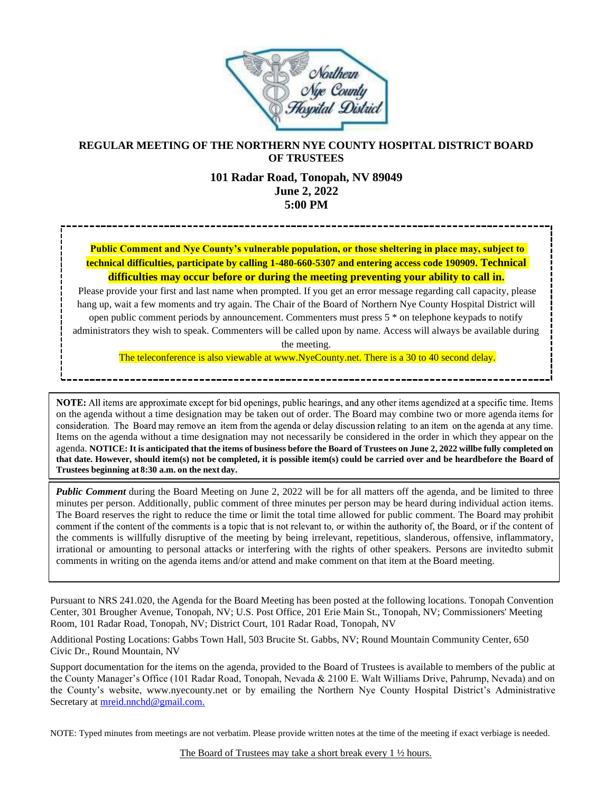

## **REGULAR MEETING OF THE NORTHERN NYE COUNTY HOSPITAL DISTRICT BOARD OF TRUSTEES**

#### **101 Radar Road, Tonopah, NV 89049 June 2, 2022 5:00 PM**

## **Public Comment and Nye County's vulnerable population, or those sheltering in place may, subject to technical difficulties, participate by calling 1-480-660-5307 and entering access code 190909. Technical difficulties may occur before or during the meeting preventing your ability to call in.**

Please provide your first and last name when prompted. If you get an error message regarding call capacity, please hang up, wait a few moments and try again. The Chair of the Board of Northern Nye County Hospital District will open public comment periods by announcement. Commenters must press 5 \* on telephone keypads to notify administrators they wish to speak. Commenters will be called upon by name. Access will always be available during

the meeting.

The teleconference is also viewable at www.NyeCounty.net. There is a 30 to 40 second delay.

NOTE: All items are approximate except for bid openings, public hearings, and any other items agendized at a specific time. Items on the agenda without a time designation may be taken out of order. The Board may combine two or more agenda consideration. The Board may remove an item from the agenda or delay discussion relating to an item on the agenda at any time. Items on the agenda without a time designation may not necessarily be considered in the order in which they appear on the agenda. NOTICE: It is anticipated that the items of business before the Board of Trustees on June 2, 2022 willbe fully completed on that date. However, should item(s) not be completed, it is possible item(s) could be carried over and be heardbefore the Board of **Trustees beginning at 8:30 a.m. on the next day.**

*Public Comment* during the Board Meeting on June 2, 2022 will be for all matters off the agenda, and be limited to three minutes per person. Additionally, public comment of three minutes per person may be heard during individual action items. The Board reserves the right to reduce the time or limit the total time allowed for public comment. The Board may prohibit comment if the content of the comments is a topic that is not relevant to, or within the authority of, the Board, or if the content of the comments is willfully disruptive of the meeting by being irrelevant, repetitious, slanderous, offensive, inflammatory, irrational or amounting to personal attacks or interfering with the rights of other speakers. Persons are invitedto submit comments in writing on the agenda items and/or attend and make comment on that item at the Board meeting.

Pursuant to NRS 241.020, the Agenda for the Board Meeting has been posted at the following locations. Tonopah Convention Center, 301 Brougher Avenue, Tonopah, NV; U.S. Post Office, 201 Erie Main St., Tonopah, NV; Commissioners' Meeting Room, 101 Radar Road, Tonopah, NV; District Court, 101 Radar Road, Tonopah, NV

Additional Posting Locations: Gabbs Town Hall, 503 Brucite St. Gabbs, NV; Round Mountain Community Center, 650 Civic Dr., Round Mountain, NV

Support documentation for the items on the agenda, provided to the Board of Trustees is available to members of the public at the County Manager's Office (101 Radar Road, Tonopah, Nevada & 2100 E. Walt Williams Drive, Pahrump, Nevada) and on the County's website, [www.nyecounty.net](http://www.nyecounty.net/) or by emailing the Northern Nye County Hospital District's Administrative Secretary at [mreid.nnchd@gmail.com.](mailto:mreid.nnchd@gmail.com)

NOTE: Typed minutes from meetings are not verbatim. Please provide written notes at the time of the meeting if exact verbiage is needed.

The Board of Trustees may take a short break every 1  $\frac{1}{2}$  hours.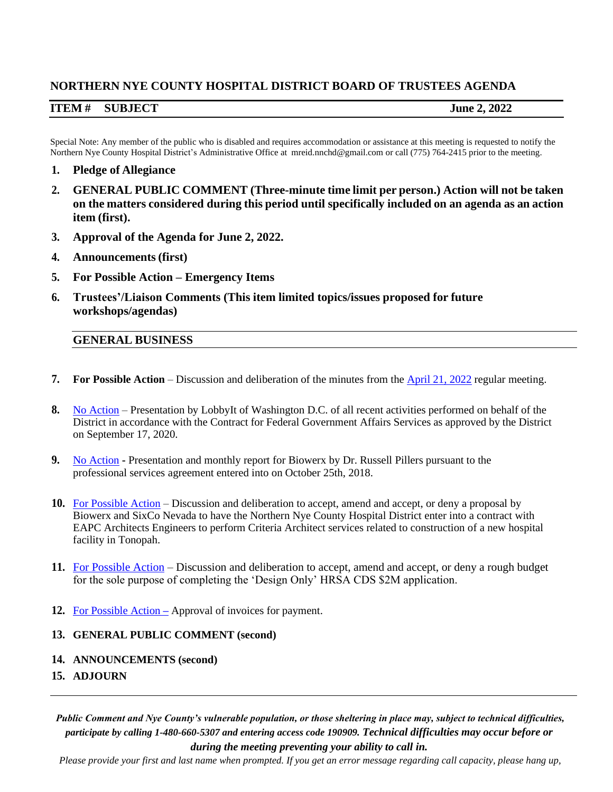# **NORTHERN NYE COUNTY HOSPITAL DISTRICT BOARD OF TRUSTEES AGENDA**

## **ITEM # SUBJECT June 2, 2022**

Special Note: Any member of the public who is disabled and requires accommodation or assistance at this meeting is requested to notify the Northern Nye County Hospital District's Administrative Office at [mreid.nnchd@gmail.com o](mailto:mreid.nnchd@gmail.com)r call (775) 764-2415 prior to the meeting.

- **1. Pledge of Allegiance**
- **2. GENERAL PUBLIC COMMENT (Three-minute time limit per person.) Action will not be taken on the matters considered during this period until specifically included on an agenda as an action item (first).**
- **3. Approval of the Agenda for June 2, 2022.**
- **4. Announcements(first)**
- **5. For Possible Action – Emergency Items**
- **6. Trustees'/Liaison Comments (This item limited topics/issues proposed for future workshops/agendas)**

### **GENERAL BUSINESS**

- **7. For Possible Action** Discussion and deliberation of the minutes from the **[April 21, 2022](https://www.nyecountynv.gov/DocumentCenter/View/41289/Minute)** regular meeting.
- **8.** [No Action](https://www.nyecountynv.gov/DocumentCenter/View/41290/Lobbyit) Presentation by LobbyIt of Washington D.C. of all recent activities performed on behalf of the District in accordance with the Contract for Federal Government Affairs Services as approved by the District on September 17, 2020.
- **9.** [No Action](https://www.nyecountynv.gov/DocumentCenter/View/41285/Biowerx-Report-May-2022) **-** Presentation and monthly report for Biowerx by Dr. Russell Pillers pursuant to the professional services agreement entered into on October 25th, 2018.
- **10.** [For Possible Action](https://www.nyecountynv.gov/DocumentCenter/View/41286/EAPC-Architects-Engineers---AIA-B103-2017-Doc---Signed) Discussion and deliberation to accept, amend and accept, or deny a proposal by Biowerx and SixCo Nevada to have the Northern Nye County Hospital District enter into a contract with EAPC Architects Engineers to perform Criteria Architect services related to construction of a new hospital facility in Tonopah.
- **11.** [For Possible Action](https://www.nyecountynv.gov/DocumentCenter/View/41287/HRSA-CDS-Budget-2-June-2022docx) Discussion and deliberation to accept, amend and accept, or deny a rough budget for the sole purpose of completing the 'Design Only' HRSA CDS \$2M application.
- **12.** For [Possible](https://www.nyecountynv.gov/DocumentCenter/View/41288/Invoice) Action **–** Approval of invoices for payment.

### **13. GENERAL PUBLIC COMMENT (second)**

- **14. ANNOUNCEMENTS (second)**
- **15. ADJOURN**

*Public Comment and Nye County's vulnerable population, or those sheltering in place may, subject to technical difficulties, participate by calling 1-480-660-5307 and entering access code 190909. Technical difficulties may occur before or during the meeting preventing your ability to call in.*

*Please provide your first and last name when prompted. If you get an error message regarding call capacity, please hang up,*